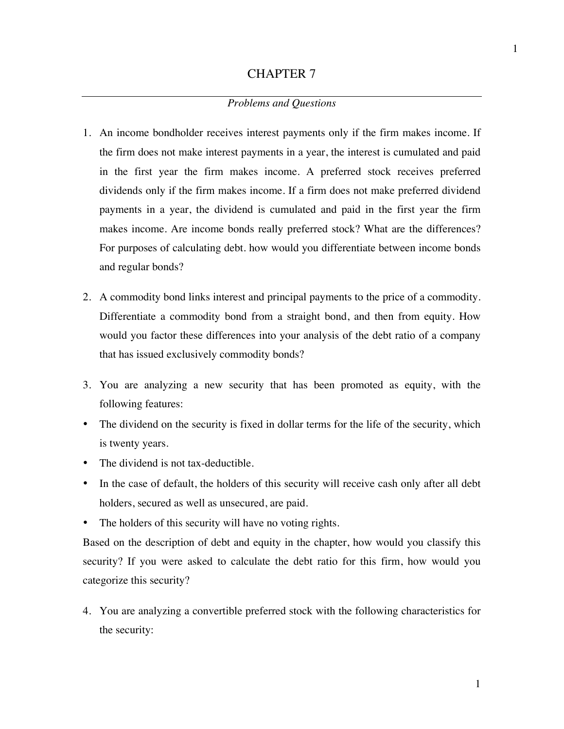## *Problems and Questions*

- 1. An income bondholder receives interest payments only if the firm makes income. If the firm does not make interest payments in a year, the interest is cumulated and paid in the first year the firm makes income. A preferred stock receives preferred dividends only if the firm makes income. If a firm does not make preferred dividend payments in a year, the dividend is cumulated and paid in the first year the firm makes income. Are income bonds really preferred stock? What are the differences? For purposes of calculating debt. how would you differentiate between income bonds and regular bonds?
- 2. A commodity bond links interest and principal payments to the price of a commodity. Differentiate a commodity bond from a straight bond, and then from equity. How would you factor these differences into your analysis of the debt ratio of a company that has issued exclusively commodity bonds?
- 3. You are analyzing a new security that has been promoted as equity, with the following features:
- The dividend on the security is fixed in dollar terms for the life of the security, which is twenty years.
- The dividend is not tax-deductible.
- In the case of default, the holders of this security will receive cash only after all debt holders, secured as well as unsecured, are paid.
- The holders of this security will have no voting rights.

Based on the description of debt and equity in the chapter, how would you classify this security? If you were asked to calculate the debt ratio for this firm, how would you categorize this security?

4. You are analyzing a convertible preferred stock with the following characteristics for the security: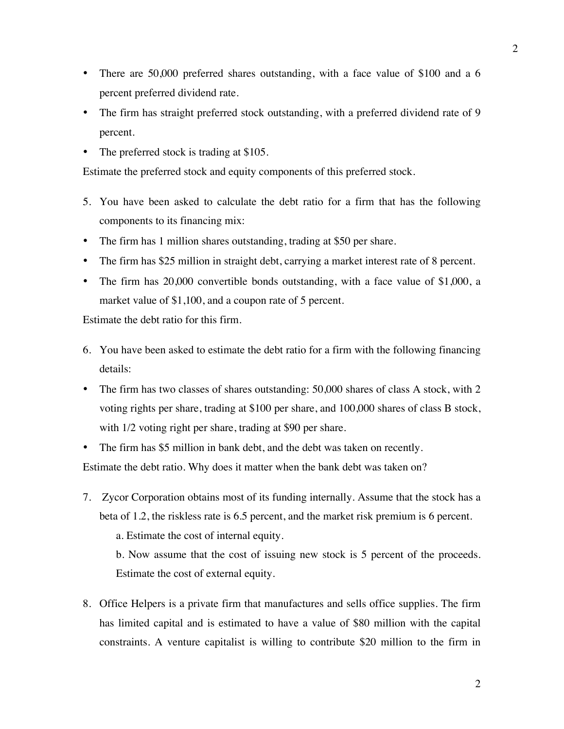- There are 50,000 preferred shares outstanding, with a face value of \$100 and a 6 percent preferred dividend rate.
- The firm has straight preferred stock outstanding, with a preferred dividend rate of 9 percent.
- The preferred stock is trading at \$105.

Estimate the preferred stock and equity components of this preferred stock.

- 5. You have been asked to calculate the debt ratio for a firm that has the following components to its financing mix:
- The firm has 1 million shares outstanding, trading at \$50 per share.
- The firm has \$25 million in straight debt, carrying a market interest rate of 8 percent.
- The firm has 20,000 convertible bonds outstanding, with a face value of \$1,000, a market value of \$1,100, and a coupon rate of 5 percent.

Estimate the debt ratio for this firm.

- 6. You have been asked to estimate the debt ratio for a firm with the following financing details:
- The firm has two classes of shares outstanding: 50,000 shares of class A stock, with 2 voting rights per share, trading at \$100 per share, and 100,000 shares of class B stock, with  $1/2$  voting right per share, trading at \$90 per share.
- The firm has \$5 million in bank debt, and the debt was taken on recently. Estimate the debt ratio. Why does it matter when the bank debt was taken on?
- 7. Zycor Corporation obtains most of its funding internally. Assume that the stock has a beta of 1.2, the riskless rate is 6.5 percent, and the market risk premium is 6 percent.
	- a. Estimate the cost of internal equity.

b. Now assume that the cost of issuing new stock is 5 percent of the proceeds. Estimate the cost of external equity.

8. Office Helpers is a private firm that manufactures and sells office supplies. The firm has limited capital and is estimated to have a value of \$80 million with the capital constraints. A venture capitalist is willing to contribute \$20 million to the firm in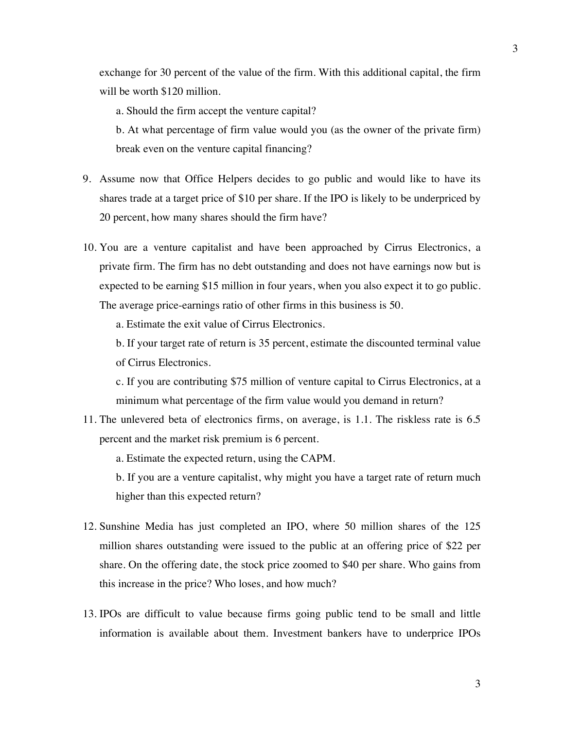exchange for 30 percent of the value of the firm. With this additional capital, the firm will be worth \$120 million.

a. Should the firm accept the venture capital?

b. At what percentage of firm value would you (as the owner of the private firm) break even on the venture capital financing?

- 9. Assume now that Office Helpers decides to go public and would like to have its shares trade at a target price of \$10 per share. If the IPO is likely to be underpriced by 20 percent, how many shares should the firm have?
- 10. You are a venture capitalist and have been approached by Cirrus Electronics, a private firm. The firm has no debt outstanding and does not have earnings now but is expected to be earning \$15 million in four years, when you also expect it to go public. The average price-earnings ratio of other firms in this business is 50.

a. Estimate the exit value of Cirrus Electronics.

b. If your target rate of return is 35 percent, estimate the discounted terminal value of Cirrus Electronics.

c. If you are contributing \$75 million of venture capital to Cirrus Electronics, at a minimum what percentage of the firm value would you demand in return?

11. The unlevered beta of electronics firms, on average, is 1.1. The riskless rate is 6.5 percent and the market risk premium is 6 percent.

a. Estimate the expected return, using the CAPM.

b. If you are a venture capitalist, why might you have a target rate of return much higher than this expected return?

- 12. Sunshine Media has just completed an IPO, where 50 million shares of the 125 million shares outstanding were issued to the public at an offering price of \$22 per share. On the offering date, the stock price zoomed to \$40 per share. Who gains from this increase in the price? Who loses, and how much?
- 13. IPOs are difficult to value because firms going public tend to be small and little information is available about them. Investment bankers have to underprice IPOs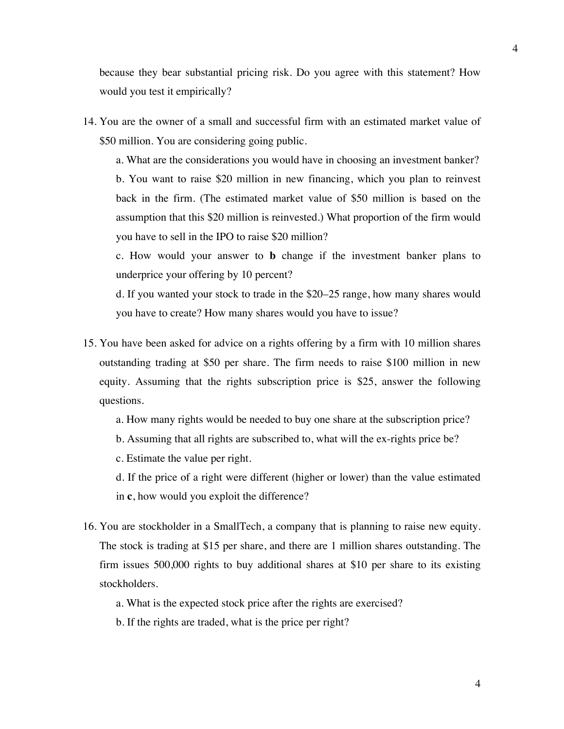because they bear substantial pricing risk. Do you agree with this statement? How would you test it empirically?

14. You are the owner of a small and successful firm with an estimated market value of \$50 million. You are considering going public.

a. What are the considerations you would have in choosing an investment banker? b. You want to raise \$20 million in new financing, which you plan to reinvest back in the firm. (The estimated market value of \$50 million is based on the assumption that this \$20 million is reinvested.) What proportion of the firm would you have to sell in the IPO to raise \$20 million?

c. How would your answer to **b** change if the investment banker plans to underprice your offering by 10 percent?

d. If you wanted your stock to trade in the \$20–25 range, how many shares would you have to create? How many shares would you have to issue?

- 15. You have been asked for advice on a rights offering by a firm with 10 million shares outstanding trading at \$50 per share. The firm needs to raise \$100 million in new equity. Assuming that the rights subscription price is \$25, answer the following questions.
	- a. How many rights would be needed to buy one share at the subscription price?
	- b. Assuming that all rights are subscribed to, what will the ex-rights price be?
	- c. Estimate the value per right.

d. If the price of a right were different (higher or lower) than the value estimated in **c**, how would you exploit the difference?

- 16. You are stockholder in a SmallTech, a company that is planning to raise new equity. The stock is trading at \$15 per share, and there are 1 million shares outstanding. The firm issues 500,000 rights to buy additional shares at \$10 per share to its existing stockholders.
	- a. What is the expected stock price after the rights are exercised?
	- b. If the rights are traded, what is the price per right?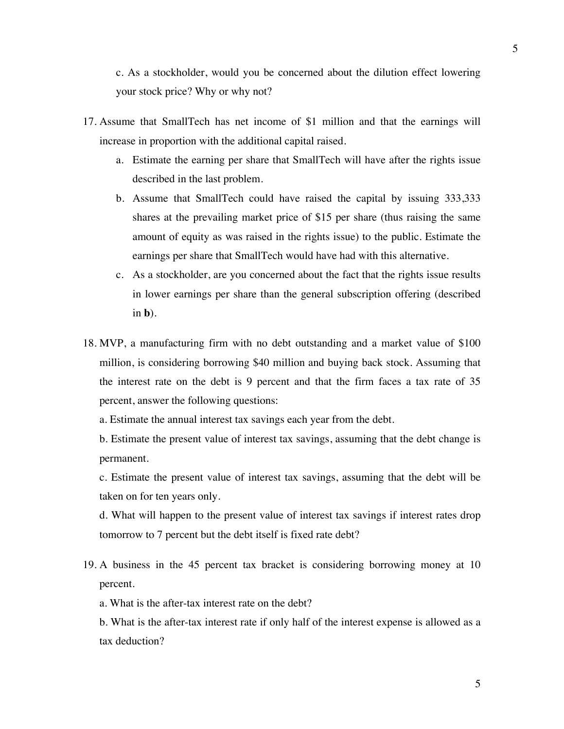c. As a stockholder, would you be concerned about the dilution effect lowering your stock price? Why or why not?

- 17. Assume that SmallTech has net income of \$1 million and that the earnings will increase in proportion with the additional capital raised.
	- a. Estimate the earning per share that SmallTech will have after the rights issue described in the last problem.
	- b. Assume that SmallTech could have raised the capital by issuing 333,333 shares at the prevailing market price of \$15 per share (thus raising the same amount of equity as was raised in the rights issue) to the public. Estimate the earnings per share that SmallTech would have had with this alternative.
	- c. As a stockholder, are you concerned about the fact that the rights issue results in lower earnings per share than the general subscription offering (described in **b**).
- 18. MVP, a manufacturing firm with no debt outstanding and a market value of \$100 million, is considering borrowing \$40 million and buying back stock. Assuming that the interest rate on the debt is 9 percent and that the firm faces a tax rate of 35 percent, answer the following questions:

a. Estimate the annual interest tax savings each year from the debt.

b. Estimate the present value of interest tax savings, assuming that the debt change is permanent.

c. Estimate the present value of interest tax savings, assuming that the debt will be taken on for ten years only.

d. What will happen to the present value of interest tax savings if interest rates drop tomorrow to 7 percent but the debt itself is fixed rate debt?

19. A business in the 45 percent tax bracket is considering borrowing money at 10 percent.

a. What is the after-tax interest rate on the debt?

b. What is the after-tax interest rate if only half of the interest expense is allowed as a tax deduction?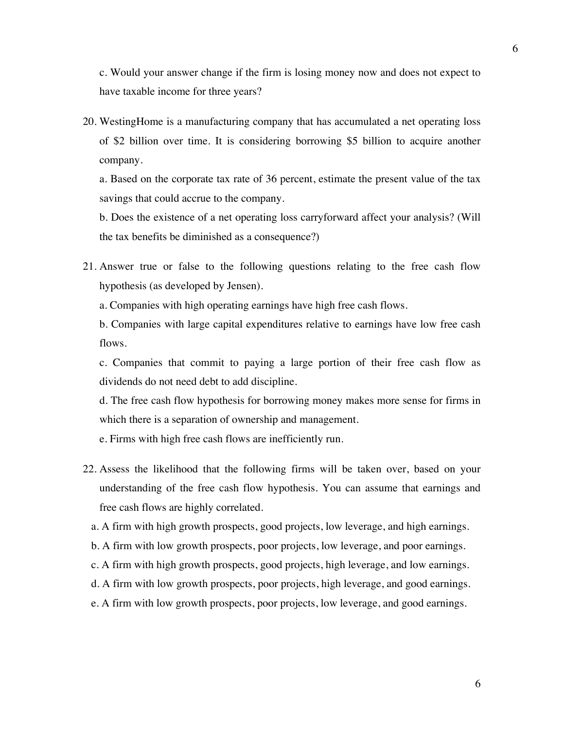c. Would your answer change if the firm is losing money now and does not expect to have taxable income for three years?

20. WestingHome is a manufacturing company that has accumulated a net operating loss of \$2 billion over time. It is considering borrowing \$5 billion to acquire another company.

a. Based on the corporate tax rate of 36 percent, estimate the present value of the tax savings that could accrue to the company.

b. Does the existence of a net operating loss carryforward affect your analysis? (Will the tax benefits be diminished as a consequence?)

21. Answer true or false to the following questions relating to the free cash flow hypothesis (as developed by Jensen).

a. Companies with high operating earnings have high free cash flows.

b. Companies with large capital expenditures relative to earnings have low free cash flows.

c. Companies that commit to paying a large portion of their free cash flow as dividends do not need debt to add discipline.

d. The free cash flow hypothesis for borrowing money makes more sense for firms in which there is a separation of ownership and management.

e. Firms with high free cash flows are inefficiently run.

- 22. Assess the likelihood that the following firms will be taken over, based on your understanding of the free cash flow hypothesis. You can assume that earnings and free cash flows are highly correlated.
	- a. A firm with high growth prospects, good projects, low leverage, and high earnings.
	- b. A firm with low growth prospects, poor projects, low leverage, and poor earnings.
	- c. A firm with high growth prospects, good projects, high leverage, and low earnings.
	- d. A firm with low growth prospects, poor projects, high leverage, and good earnings.
	- e. A firm with low growth prospects, poor projects, low leverage, and good earnings.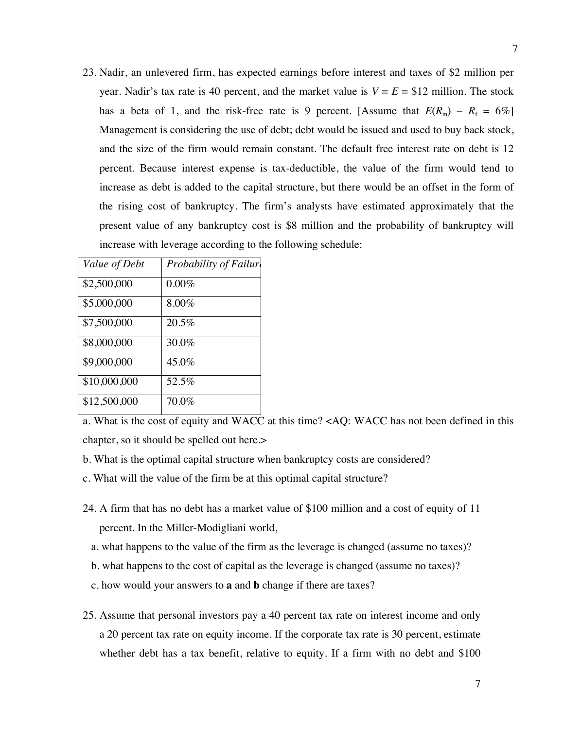23. Nadir, an unlevered firm, has expected earnings before interest and taxes of \$2 million per year. Nadir's tax rate is 40 percent, and the market value is  $V = E = $12$  million. The stock has a beta of 1, and the risk-free rate is 9 percent. [Assume that  $E(R_m) - R_f = 6\%$ ] Management is considering the use of debt; debt would be issued and used to buy back stock, and the size of the firm would remain constant. The default free interest rate on debt is 12 percent. Because interest expense is tax-deductible, the value of the firm would tend to increase as debt is added to the capital structure, but there would be an offset in the form of the rising cost of bankruptcy. The firm's analysts have estimated approximately that the present value of any bankruptcy cost is \$8 million and the probability of bankruptcy will increase with leverage according to the following schedule:

| Value of Debt | Probability of Failure |
|---------------|------------------------|
| \$2,500,000   | 0.00%                  |
| \$5,000,000   | 8.00%                  |
| \$7,500,000   | $20.5\%$               |
| \$8,000,000   | 30.0%                  |
| \$9,000,000   | 45.0%                  |
| \$10,000,000  | 52.5%                  |
| \$12,500,000  | $70.0\%$               |

a. What is the cost of equity and WACC at this time? <AQ: WACC has not been defined in this chapter, so it should be spelled out here.>

- b. What is the optimal capital structure when bankruptcy costs are considered?
- c. What will the value of the firm be at this optimal capital structure?
- 24. A firm that has no debt has a market value of \$100 million and a cost of equity of 11 percent. In the Miller-Modigliani world,
	- a. what happens to the value of the firm as the leverage is changed (assume no taxes)?
	- b. what happens to the cost of capital as the leverage is changed (assume no taxes)?
	- c. how would your answers to **a** and **b** change if there are taxes?
- 25. Assume that personal investors pay a 40 percent tax rate on interest income and only a 20 percent tax rate on equity income. If the corporate tax rate is 30 percent, estimate whether debt has a tax benefit, relative to equity. If a firm with no debt and \$100